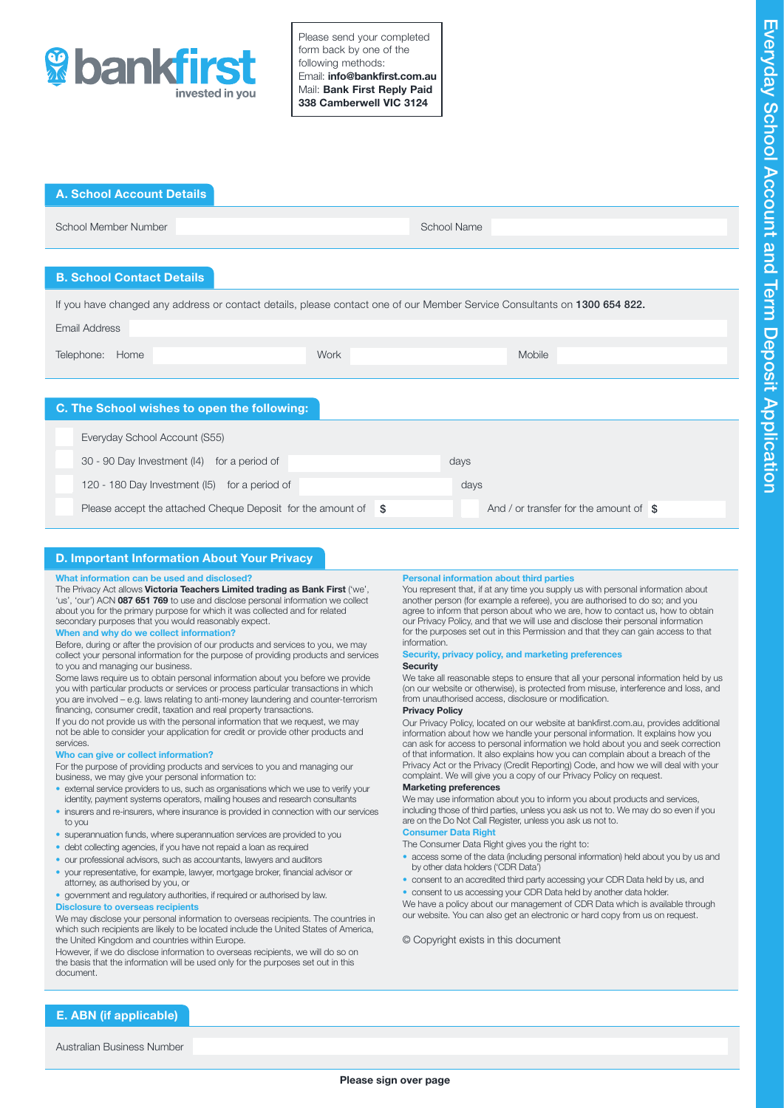

Please send your completed form back by one of the following methods: Email: info@bankfirst.com.au Mail: Bank First Reply Paid 338 Camberwell VIC 3124

| <b>A. School Account Details</b>                                                                                          |                                                 |  |  |  |  |
|---------------------------------------------------------------------------------------------------------------------------|-------------------------------------------------|--|--|--|--|
| School Member Number                                                                                                      | <b>School Name</b>                              |  |  |  |  |
|                                                                                                                           |                                                 |  |  |  |  |
| <b>B. School Contact Details</b>                                                                                          |                                                 |  |  |  |  |
| If you have changed any address or contact details, please contact one of our Member Service Consultants on 1300 654 822. |                                                 |  |  |  |  |
| <b>Email Address</b>                                                                                                      |                                                 |  |  |  |  |
| Work<br>Telephone: Home                                                                                                   | <b>Mobile</b>                                   |  |  |  |  |
|                                                                                                                           |                                                 |  |  |  |  |
|                                                                                                                           |                                                 |  |  |  |  |
| C. The School wishes to open the following:                                                                               |                                                 |  |  |  |  |
| Everyday School Account (S55)                                                                                             |                                                 |  |  |  |  |
| 30 - 90 Day Investment (I4) for a period of                                                                               | days                                            |  |  |  |  |
| 120 - 180 Day Investment (15) for a period of                                                                             | days                                            |  |  |  |  |
|                                                                                                                           | And / or transfer for the amount of $\text{\$}$ |  |  |  |  |

# D. Important Information About Your Privacy

#### What information can be used and disclosed?

The Privacy Act allows Victoria Teachers Limited trading as Bank First ('we', 'us', 'our') ACN 087 651 769 to use and disclose personal information we collect<br>about you for the primary purpose for which it was collected and for related secondary purposes that you would reasonably expect.

#### When and why do we collect information?

Before, during or after the provision of our products and services to you, we may collect your personal information for the purpose of providing products and services to you and managing our business.

Some laws require us to obtain personal information about you before we provide you with particular products or services or process particular transactions in which you are involved – e.g. laws relating to anti-money laundering and counter-terrorism financing, consumer credit, taxation and real property transactions.

If you do not provide us with the personal information that we request, we may not be able to consider your application for credit or provide other products and services.

#### Who can give or collect information?

For the purpose of providing products and services to you and managing our business, we may give your personal information to:

- external service providers to us, such as organisations which we use to verify your identity, payment systems operators, mailing houses and research consultants
- insurers and re-insurers, where insurance is provided in connection with our services to you
- superannuation funds, where superannuation services are provided to you
- debt collecting agencies, if you have not repaid a loan as required
- our professional advisors, such as accountants, lawyers and auditors
- your representative, for example, lawyer, mortgage broker, financial advisor or attorney, as authorised by you, or
- government and regulatory authorities, if required or authorised by law.

#### **Disclosure to overseas recipients**

We may disclose your personal information to overseas recipients. The countries in which such recipients are likely to be located include the United States of America, the United Kingdom and countries within Europe.

However, if we do disclose information to overseas recipients, we will do so on the basis that the information will be used only for the purposes set out in this document.

#### Personal information about third parties

You represent that, if at any time you supply us with personal information about another person (for example a referee), you are authorised to do so; and you agree to inform that person about who we are, how to contact us, how to obtain our Privacy Policy, and that we will use and disclose their personal information for the purposes set out in this Permission and that they can gain access to that information.

#### Security, privacy policy, and marketing preferences **Security**

We take all reasonable steps to ensure that all your personal information held by us (on our website or otherwise), is protected from misuse, interference and loss, and from unauthorised access, disclosure or modification.

#### Privacy Policy

Our Privacy Policy, located on our website at bankfirst.com.au, provides additional information about how we handle your personal information. It explains how you can ask for access to personal information we hold about you and seek correction of that information. It also explains how you can complain about a breach of the Privacy Act or the Privacy (Credit Reporting) Code, and how we will deal with your complaint. We will give you a copy of our Privacy Policy on request.

### Marketing preferences

We may use information about you to inform you about products and services, including those of third parties, unless you ask us not to. We may do so even if you are on the Do Not Call Register, unless you ask us not to.

### Consumer Data Right

- The Consumer Data Right gives you the right to:<br>• access some of the data (including personal information) held about you by us and by other data holders ('CDR Data')
- consent to an accredited third party accessing your CDR Data held by us, and
- consent to us accessing your CDR Data held by another data holder.

We have a policy about our management of CDR Data which is available through our website. You can also get an electronic or hard copy from us on request.

#### © Copyright exists in this document

E. ABN (if applicable)

Australian Business Number